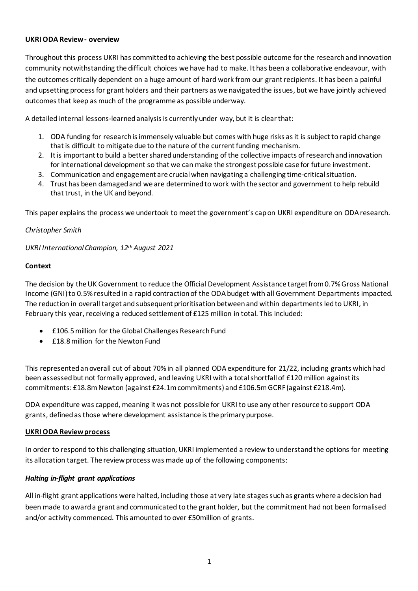### **UKRI ODA Review - overview**

Throughout this process UKRI has committed to achieving the best possible outcome for the research and innovation community notwithstanding the difficult choices we have had to make. It has been a collaborative endeavour, with the outcomes critically dependent on a huge amount of hard work from our grant recipients. It has been a painful and upsetting process for grant holders and their partners as we navigated the issues, but we have jointly achieved outcomes that keep as much of the programme as possible underway.

A detailed internal lessons-learned analysis is currently under way, but it is clear that:

- 1. ODA funding for research is immensely valuable but comes with huge risks as it is subject to rapid change that is difficult to mitigate due to the nature of the current funding mechanism.
- 2. It is important to build a better shared understanding of the collective impacts of research and innovation for international development so that we can make the strongest possible case for future investment.
- 3. Communication and engagement are crucial when navigating a challenging time-critical situation.
- 4. Trust has been damagedand we are determined to work with the sector and government to help rebuild that trust, in the UK and beyond.

This paper explains the process we undertook to meet the government's cap on UKRI expenditure on ODA research.

## *Christopher Smith*

*UKRI International Champion, 12th August 2021*

## **Context**

The decision by the UK Government to reduce the Official Development Assistance target from 0.7% Gross National Income (GNI) to 0.5% resulted in a rapid contraction of the ODA budget with all Government Departments impacted. The reduction in overall target and subsequent prioritisation between and within departments led to UKRI, in February this year, receiving [a reduced settlement of £125](https://www.ukri.org/wp-content/uploads/2021/05/UKRI-270521-UKRI-Allocation-Explainer-2021-22-FINAL-PDF.pdf) million in total. This included:

- £106.5million for the Global Challenges Research Fund
- £18.8million for the Newton Fund

This represented an overall cut of about 70% in all planned ODA expenditure for 21/22, including grants which had been assessed but not formally approved, and leaving UKRI with a total shortfall of £120 million against its commitments: £18.8m Newton (against £24.1m commitments) and £106.5m GCRF (against £218.4m).

ODA expenditure was capped, meaning it was not possible for UKRI to use any other resource to support ODA grants, defined as those where development assistance is the primary purpose.

#### **UKRI ODA Review process**

In order to respond to this challenging situation, UKRI implemented a review to understand the options for meeting its allocation target. The review process was made up of the following components:

## *Halting in-flight grant applications*

All in-flight grant applications were halted, including those at very late stages such as grants where a decision had been made to award a grant and communicated to the grant holder, but the commitment had not been formalised and/or activity commenced. This amounted to over £50million of grants.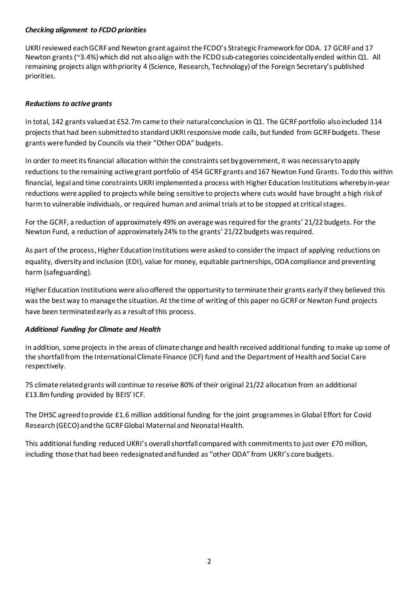### *Checking alignment to FCDO priorities*

UKRI reviewed eachGCRF and Newton grant against the FCDO's Strategic Framework for ODA. 17 GCRF and 17 Newton grants (~3.4%) which did not also align with the FCDO sub-categories coincidentally ended within Q1. All remaining projects align with priority 4 (Science, Research, Technology) of the Foreign Secretary's published priorities.

## *Reductions to active grants*

In total, 142 grants valued at £52.7m came to their natural conclusion in Q1. The GCRF portfolio also included 114 projects that had been submitted to standard UKRI responsive mode calls, but funded from GCRF budgets. These grants were funded by Councils via their "Other ODA" budgets.

In order to meet its financial allocation within the constraints set by government, it was necessary to apply reductions to the remaining active grant portfolio of 454 GCRF grants and 167 Newton Fund Grants. To do this within financial, legal and time constraints UKRI implemented a process with Higher Education Institutions whereby in-year reductions were applied to projects while being sensitive to projects where cuts would have brought a high risk of harm to vulnerable individuals, or required human and animal trials at to be stopped at critical stages.

For the GCRF, a reduction of approximately 49% on average was required for the grants' 21/22 budgets. For the Newton Fund, a reduction of approximately 24% to the grants' 21/22 budgets was required.

As part of the process, Higher Education Institutions were asked to consider the impact of applying reductions on equality, diversity and inclusion (EDI), value for money, equitable partnerships, ODA compliance and preventing harm (safeguarding).

Higher Education Institutions were also offered the opportunity to terminate their grants early if they believed this was the best way to manage the situation. At the time of writing of this paper no GCRF or Newton Fund projects have been terminated early as a result of this process.

## *Additional Funding for Climate and Health*

In addition, some projects in the areas of climate change and health received additional funding to make up some of the shortfall from the International Climate Finance (ICF) fund and the Department of Health and Social Care respectively.

75 climate relatedgrants will continue to receive 80% of their original 21/22 allocation from an additional £13.8mfunding provided by BEIS' ICF.

The DHSC agreed to provide £1.6 million additional funding for the joint programmes in Global Effort for Covid Research (GECO) and the GCRF Global Maternal and Neonatal Health.

This additional funding reduced UKRI's overall shortfall compared with commitments to just over £70 million, including those that had been redesignated and funded as "other ODA" from UKRI's core budgets.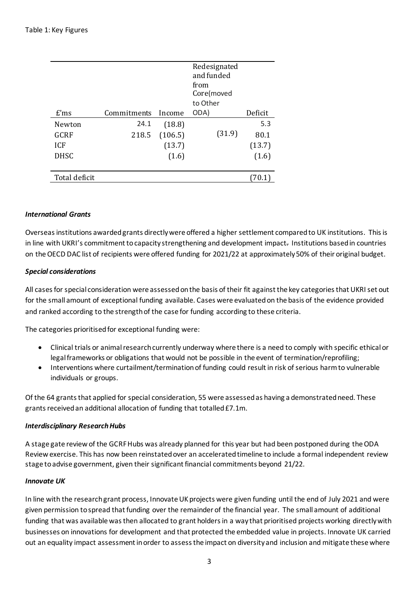|               |             |         | Redesignated<br>and funded<br>from<br>Core(moved<br>to Other |         |
|---------------|-------------|---------|--------------------------------------------------------------|---------|
| $E'$ ms       | Commitments | Income  | ODA)                                                         | Deficit |
| Newton        | 24.1        | (18.8)  |                                                              | 5.3     |
| GCRF          | 218.5       | (106.5) | (31.9)                                                       | 80.1    |
| <b>ICF</b>    |             | (13.7)  |                                                              | (13.7)  |
| <b>DHSC</b>   |             | (1.6)   |                                                              | (1.6)   |
|               |             |         |                                                              |         |
| Total deficit |             |         |                                                              |         |
|               |             |         |                                                              |         |

#### *International Grants*

Overseas institutions awarded grants directly were offered a higher settlement compared to UK institutions. This is in line with UKRI's commitment to capacity strengthening and development impact. Institutions based in countries on the OECD DAC list of recipients were offered funding for 2021/22 at approximately 50% of their original budget.

### *Special considerations*

All cases for special consideration were assessed on the basis of their fit against the key categories that UKRI set out for the small amount of exceptional funding available. Cases were evaluated on the basis of the evidence provided and ranked according to the strength of the case for funding according to these criteria.

The categories prioritised for exceptional funding were:

- Clinical trials or animal research currently underway where there is a need to comply with specific ethical or legal frameworks or obligations that would not be possible in the event of termination/reprofiling;
- Interventions where curtailment/termination of funding could result in risk of serious harm to vulnerable individuals or groups.

Of the 64 grants that applied for special consideration, 55 were assessed as having a demonstrated need. These grants received an additional allocation of funding that totalled £7.1m.

#### *Interdisciplinary Research Hubs*

A stage gate review of the GCRF Hubs was already planned for this year but had been postponed during the ODA Review exercise. This has now been reinstated over an accelerated timeline to include a formal independent review stage to advise government, given their significant financial commitments beyond 21/22.

#### *Innovate UK*

In line with the research grant process, Innovate UK projects were given funding until the end of July 2021 and were given permission to spread that funding over the remainder of the financial year. The small amount of additional funding that was available was then allocated to grant holders in a way that prioritised projects working directly with businesses on innovations for development and that protected the embedded value in projects. Innovate UK carried out an equality impact assessment in order to assess the impact on diversity and inclusion and mitigate these where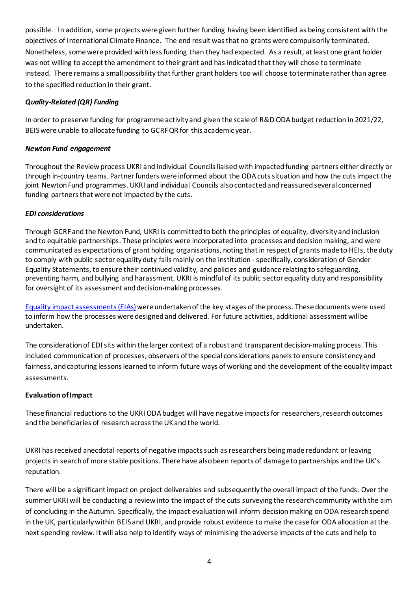possible. In addition, some projects were given further funding having been identified as being consistent with the objectives of International Climate Finance. The end result was that no grants were compulsorily terminated. Nonetheless, some were provided with less funding than they had expected. As a result, at least one grant holder was not willing to accept the amendment to their grant and has indicated that they will chose to terminate instead. There remains a small possibility that further grant holders too will choose to terminate rather than agree to the specified reduction in their grant.

# *Quality-Related (QR) Funding*

In order to preserve funding for programme activity and given the scale of R&D ODA budget reduction in 2021/22, BEIS were unable to allocate funding to GCRF QR for this academic year.

## *Newton Fund engagement*

Throughout the Review process UKRI and individual Councils liaised with impacted funding partners either directly or through in-country teams. Partner funders were informed about the ODA cuts situation and how the cuts impact the joint Newton Fund programmes. UKRI and individual Councils also contacted and reassured several concerned funding partners that were not impacted by the cuts.

## *EDI considerations*

Through GCRF and the Newton Fund, UKRI is committedto both the principles of equality, diversity and inclusion and to equitable partnerships. These principles were incorporated into processes and decision making, and were communicated as expectations of grant holding organisations, noting that in respect of grants made to HEIs, the duty to comply with public sector equality duty falls mainly on the institution -specifically, consideration of Gender Equality Statements, to ensure their continued validity, and policies and guidance relating to safeguarding, preventing harm, and bullying and harassment. UKRI is mindful of its public sector equality duty and responsibility for oversight of its assessment and decision-making processes.

[Equality impact assessments\(EIAs\)](https://www.ukri.org/our-work/collaborating-internationally/oda-review/oda-review-project-summary/#contents-list)were undertaken of the key stages of the process. These documents were used to inform how the processes were designed and delivered. For future activities, additional assessment will be undertaken.

The consideration of EDI sits within the larger context of a robust and transparent decision-making process. This included communication of processes, observers of the special considerations panels to ensure consistency and fairness, and capturing lessons learned to inform future ways of working and the development of the equality impact assessments.

## **Evaluation of Impact**

These financial reductions to the UKRI ODA budget will have negative impacts for researchers, research outcomes and the beneficiaries of research across the UK and the world.

UKRI has received anecdotal reports of negative impacts such as researchers being made redundant or leaving projects in search of more stable positions. There have also been reports of damage to partnerships and the UK's reputation.

There will be a significant impact on project deliverables and subsequently the overall impact of the funds. Over the summer UKRI will be conducting a review into the impact of the cuts surveying the research community with the aim of concluding in the Autumn. Specifically, the impact evaluation will inform decision making on ODA research spend in the UK, particularly within BEIS and UKRI, and provide robust evidence to make the case for ODA allocation at the next spending review. It will also help to identify ways of minimising the adverse impacts of the cuts and help to